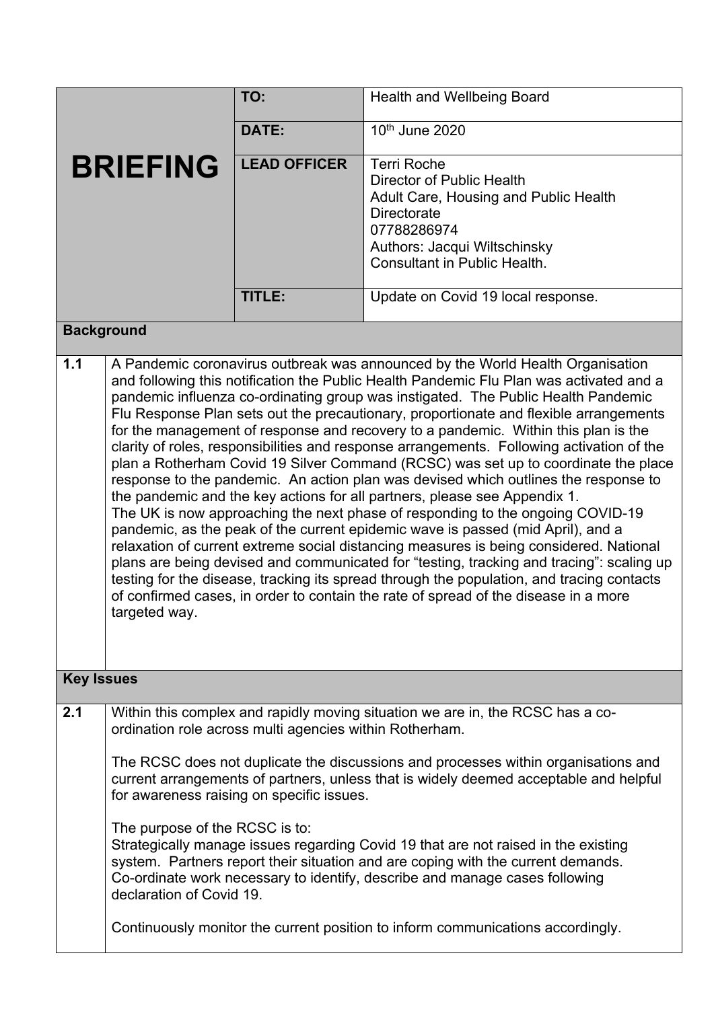|                   |                                                                                                                                                                                                                                                                                                                                                                                                                                                                                                                                                                                                                                                                                                                                                                                                                                                                                                                                                                                                                                                                                                                                                                                                                                                                                                                                                                      | TO:                                                     | Health and Wellbeing Board                                                                                                                                                                                                                                    |  |
|-------------------|----------------------------------------------------------------------------------------------------------------------------------------------------------------------------------------------------------------------------------------------------------------------------------------------------------------------------------------------------------------------------------------------------------------------------------------------------------------------------------------------------------------------------------------------------------------------------------------------------------------------------------------------------------------------------------------------------------------------------------------------------------------------------------------------------------------------------------------------------------------------------------------------------------------------------------------------------------------------------------------------------------------------------------------------------------------------------------------------------------------------------------------------------------------------------------------------------------------------------------------------------------------------------------------------------------------------------------------------------------------------|---------------------------------------------------------|---------------------------------------------------------------------------------------------------------------------------------------------------------------------------------------------------------------------------------------------------------------|--|
| <b>BRIEFING</b>   |                                                                                                                                                                                                                                                                                                                                                                                                                                                                                                                                                                                                                                                                                                                                                                                                                                                                                                                                                                                                                                                                                                                                                                                                                                                                                                                                                                      | DATE:                                                   | 10th June 2020                                                                                                                                                                                                                                                |  |
|                   |                                                                                                                                                                                                                                                                                                                                                                                                                                                                                                                                                                                                                                                                                                                                                                                                                                                                                                                                                                                                                                                                                                                                                                                                                                                                                                                                                                      | <b>LEAD OFFICER</b>                                     | <b>Terri Roche</b><br>Director of Public Health<br>Adult Care, Housing and Public Health<br><b>Directorate</b><br>07788286974<br>Authors: Jacqui Wiltschinsky<br>Consultant in Public Health.                                                                 |  |
|                   |                                                                                                                                                                                                                                                                                                                                                                                                                                                                                                                                                                                                                                                                                                                                                                                                                                                                                                                                                                                                                                                                                                                                                                                                                                                                                                                                                                      | TITLE:                                                  | Update on Covid 19 local response.                                                                                                                                                                                                                            |  |
|                   | <b>Background</b>                                                                                                                                                                                                                                                                                                                                                                                                                                                                                                                                                                                                                                                                                                                                                                                                                                                                                                                                                                                                                                                                                                                                                                                                                                                                                                                                                    |                                                         |                                                                                                                                                                                                                                                               |  |
| 1.1               | A Pandemic coronavirus outbreak was announced by the World Health Organisation<br>and following this notification the Public Health Pandemic Flu Plan was activated and a<br>pandemic influenza co-ordinating group was instigated. The Public Health Pandemic<br>Flu Response Plan sets out the precautionary, proportionate and flexible arrangements<br>for the management of response and recovery to a pandemic. Within this plan is the<br>clarity of roles, responsibilities and response arrangements. Following activation of the<br>plan a Rotherham Covid 19 Silver Command (RCSC) was set up to coordinate the place<br>response to the pandemic. An action plan was devised which outlines the response to<br>the pandemic and the key actions for all partners, please see Appendix 1.<br>The UK is now approaching the next phase of responding to the ongoing COVID-19<br>pandemic, as the peak of the current epidemic wave is passed (mid April), and a<br>relaxation of current extreme social distancing measures is being considered. National<br>plans are being devised and communicated for "testing, tracking and tracing": scaling up<br>testing for the disease, tracking its spread through the population, and tracing contacts<br>of confirmed cases, in order to contain the rate of spread of the disease in a more<br>targeted way. |                                                         |                                                                                                                                                                                                                                                               |  |
| <b>Key Issues</b> |                                                                                                                                                                                                                                                                                                                                                                                                                                                                                                                                                                                                                                                                                                                                                                                                                                                                                                                                                                                                                                                                                                                                                                                                                                                                                                                                                                      |                                                         |                                                                                                                                                                                                                                                               |  |
| 2.1               |                                                                                                                                                                                                                                                                                                                                                                                                                                                                                                                                                                                                                                                                                                                                                                                                                                                                                                                                                                                                                                                                                                                                                                                                                                                                                                                                                                      | ordination role across multi agencies within Rotherham. | Within this complex and rapidly moving situation we are in, the RCSC has a co-<br>The RCSC does not duplicate the discussions and processes within organisations and<br>current arrangements of partners, unless that is widely deemed acceptable and helpful |  |
|                   |                                                                                                                                                                                                                                                                                                                                                                                                                                                                                                                                                                                                                                                                                                                                                                                                                                                                                                                                                                                                                                                                                                                                                                                                                                                                                                                                                                      | for awareness raising on specific issues.               |                                                                                                                                                                                                                                                               |  |
|                   | The purpose of the RCSC is to:<br>declaration of Covid 19.                                                                                                                                                                                                                                                                                                                                                                                                                                                                                                                                                                                                                                                                                                                                                                                                                                                                                                                                                                                                                                                                                                                                                                                                                                                                                                           |                                                         | Strategically manage issues regarding Covid 19 that are not raised in the existing<br>system. Partners report their situation and are coping with the current demands.<br>Co-ordinate work necessary to identify, describe and manage cases following         |  |
|                   |                                                                                                                                                                                                                                                                                                                                                                                                                                                                                                                                                                                                                                                                                                                                                                                                                                                                                                                                                                                                                                                                                                                                                                                                                                                                                                                                                                      |                                                         | Continuously monitor the current position to inform communications accordingly.                                                                                                                                                                               |  |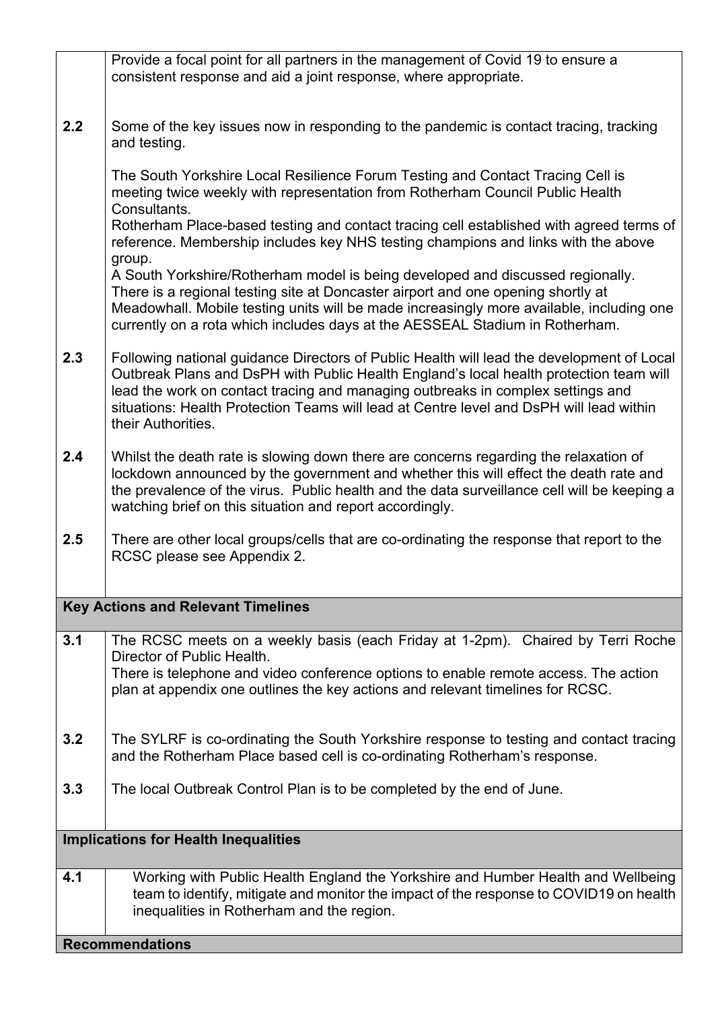|                                             | <b>Recommendations</b>                                                                                                                                                                                                                                                                                                                                                                  |  |  |
|---------------------------------------------|-----------------------------------------------------------------------------------------------------------------------------------------------------------------------------------------------------------------------------------------------------------------------------------------------------------------------------------------------------------------------------------------|--|--|
| 4.1                                         | Working with Public Health England the Yorkshire and Humber Health and Wellbeing<br>team to identify, mitigate and monitor the impact of the response to COVID19 on health<br>inequalities in Rotherham and the region.                                                                                                                                                                 |  |  |
| <b>Implications for Health Inequalities</b> |                                                                                                                                                                                                                                                                                                                                                                                         |  |  |
|                                             |                                                                                                                                                                                                                                                                                                                                                                                         |  |  |
| 3.3                                         | The local Outbreak Control Plan is to be completed by the end of June.                                                                                                                                                                                                                                                                                                                  |  |  |
| 3.2                                         | The SYLRF is co-ordinating the South Yorkshire response to testing and contact tracing<br>and the Rotherham Place based cell is co-ordinating Rotherham's response.                                                                                                                                                                                                                     |  |  |
| 3.1                                         | The RCSC meets on a weekly basis (each Friday at 1-2pm). Chaired by Terri Roche<br>Director of Public Health.<br>There is telephone and video conference options to enable remote access. The action<br>plan at appendix one outlines the key actions and relevant timelines for RCSC.                                                                                                  |  |  |
|                                             | <b>Key Actions and Relevant Timelines</b>                                                                                                                                                                                                                                                                                                                                               |  |  |
| 2.5                                         | There are other local groups/cells that are co-ordinating the response that report to the<br>RCSC please see Appendix 2.                                                                                                                                                                                                                                                                |  |  |
| 2.4                                         | Whilst the death rate is slowing down there are concerns regarding the relaxation of<br>lockdown announced by the government and whether this will effect the death rate and<br>the prevalence of the virus. Public health and the data surveillance cell will be keeping a<br>watching brief on this situation and report accordingly.                                                 |  |  |
| 2.3                                         | Following national guidance Directors of Public Health will lead the development of Local<br>Outbreak Plans and DsPH with Public Health England's local health protection team will<br>lead the work on contact tracing and managing outbreaks in complex settings and<br>situations: Health Protection Teams will lead at Centre level and DsPH will lead within<br>their Authorities. |  |  |
|                                             | group.<br>A South Yorkshire/Rotherham model is being developed and discussed regionally.<br>There is a regional testing site at Doncaster airport and one opening shortly at<br>Meadowhall. Mobile testing units will be made increasingly more available, including one<br>currently on a rota which includes days at the AESSEAL Stadium in Rotherham.                                |  |  |
|                                             | The South Yorkshire Local Resilience Forum Testing and Contact Tracing Cell is<br>meeting twice weekly with representation from Rotherham Council Public Health<br>Consultants.<br>Rotherham Place-based testing and contact tracing cell established with agreed terms of<br>reference. Membership includes key NHS testing champions and links with the above                         |  |  |
| 2.2                                         | Some of the key issues now in responding to the pandemic is contact tracing, tracking<br>and testing.                                                                                                                                                                                                                                                                                   |  |  |
|                                             | Provide a focal point for all partners in the management of Covid 19 to ensure a<br>consistent response and aid a joint response, where appropriate.                                                                                                                                                                                                                                    |  |  |